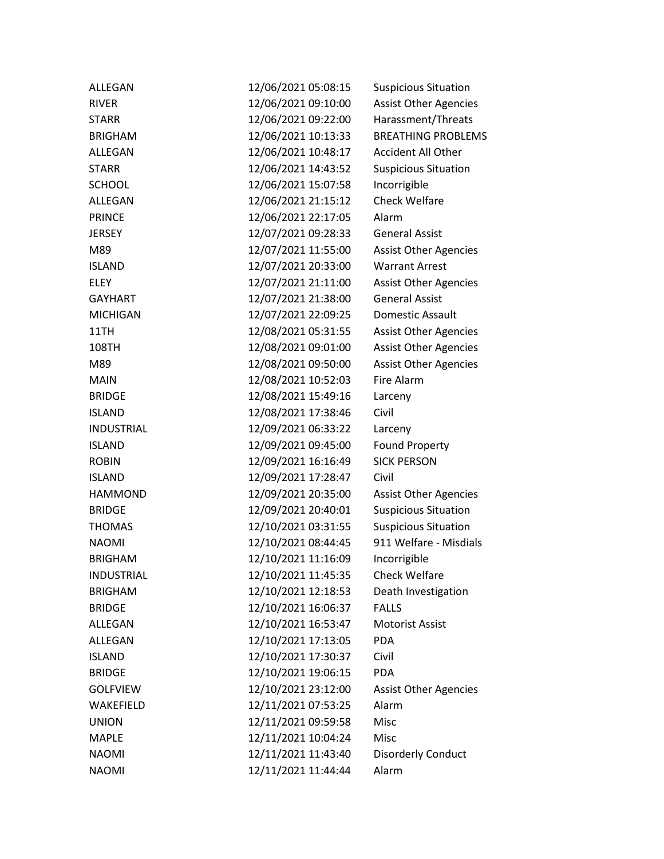| ALLEGAN           | 12/06/2021 05:08:15 | <b>Suspicious Situation</b>  |
|-------------------|---------------------|------------------------------|
| <b>RIVER</b>      | 12/06/2021 09:10:00 | <b>Assist Other Agencies</b> |
| <b>STARR</b>      | 12/06/2021 09:22:00 | Harassment/Threats           |
| <b>BRIGHAM</b>    | 12/06/2021 10:13:33 | <b>BREATHING PROBLEMS</b>    |
| ALLEGAN           | 12/06/2021 10:48:17 | <b>Accident All Other</b>    |
| <b>STARR</b>      | 12/06/2021 14:43:52 | <b>Suspicious Situation</b>  |
| <b>SCHOOL</b>     | 12/06/2021 15:07:58 | Incorrigible                 |
| <b>ALLEGAN</b>    | 12/06/2021 21:15:12 | <b>Check Welfare</b>         |
| <b>PRINCE</b>     | 12/06/2021 22:17:05 | Alarm                        |
| <b>JERSEY</b>     | 12/07/2021 09:28:33 | <b>General Assist</b>        |
| M89               | 12/07/2021 11:55:00 | <b>Assist Other Agencies</b> |
| <b>ISLAND</b>     | 12/07/2021 20:33:00 | <b>Warrant Arrest</b>        |
| <b>ELEY</b>       | 12/07/2021 21:11:00 | <b>Assist Other Agencies</b> |
| <b>GAYHART</b>    | 12/07/2021 21:38:00 | <b>General Assist</b>        |
| <b>MICHIGAN</b>   | 12/07/2021 22:09:25 | Domestic Assault             |
| 11TH              | 12/08/2021 05:31:55 | <b>Assist Other Agencies</b> |
| 108TH             | 12/08/2021 09:01:00 | <b>Assist Other Agencies</b> |
| M89               | 12/08/2021 09:50:00 | <b>Assist Other Agencies</b> |
| <b>MAIN</b>       | 12/08/2021 10:52:03 | Fire Alarm                   |
| <b>BRIDGE</b>     | 12/08/2021 15:49:16 | Larceny                      |
| <b>ISLAND</b>     | 12/08/2021 17:38:46 | Civil                        |
| <b>INDUSTRIAL</b> | 12/09/2021 06:33:22 | Larceny                      |
| <b>ISLAND</b>     | 12/09/2021 09:45:00 | <b>Found Property</b>        |
| <b>ROBIN</b>      | 12/09/2021 16:16:49 | <b>SICK PERSON</b>           |
| <b>ISLAND</b>     | 12/09/2021 17:28:47 | Civil                        |
| <b>HAMMOND</b>    | 12/09/2021 20:35:00 | <b>Assist Other Agencies</b> |
| <b>BRIDGE</b>     | 12/09/2021 20:40:01 | <b>Suspicious Situation</b>  |
| <b>THOMAS</b>     | 12/10/2021 03:31:55 | <b>Suspicious Situation</b>  |
| <b>NAOMI</b>      | 12/10/2021 08:44:45 | 911 Welfare - Misdials       |
| <b>BRIGHAM</b>    | 12/10/2021 11:16:09 | Incorrigible                 |
| <b>INDUSTRIAL</b> | 12/10/2021 11:45:35 | <b>Check Welfare</b>         |
| <b>BRIGHAM</b>    | 12/10/2021 12:18:53 | Death Investigation          |
| <b>BRIDGE</b>     | 12/10/2021 16:06:37 | <b>FALLS</b>                 |
| <b>ALLEGAN</b>    | 12/10/2021 16:53:47 | Motorist Assist              |
| ALLEGAN           | 12/10/2021 17:13:05 | <b>PDA</b>                   |
| <b>ISLAND</b>     | 12/10/2021 17:30:37 | Civil                        |
| <b>BRIDGE</b>     | 12/10/2021 19:06:15 | <b>PDA</b>                   |
| <b>GOLFVIEW</b>   | 12/10/2021 23:12:00 | <b>Assist Other Agencies</b> |
| WAKEFIELD         | 12/11/2021 07:53:25 | Alarm                        |
| <b>UNION</b>      | 12/11/2021 09:59:58 | Misc                         |
| <b>MAPLE</b>      | 12/11/2021 10:04:24 | Misc                         |
| <b>NAOMI</b>      | 12/11/2021 11:43:40 | <b>Disorderly Conduct</b>    |
| <b>NAOMI</b>      | 12/11/2021 11:44:44 | Alarm                        |